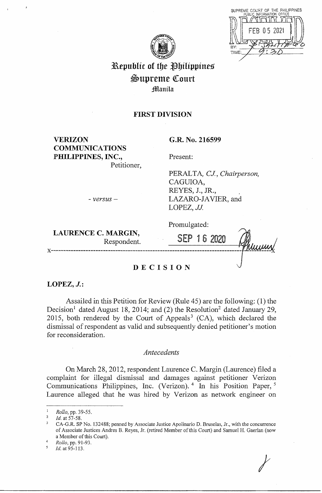| SUPREME COURT OF THE PHILIPPINES<br>PUBLIC INFORMATION OFFICE |
|---------------------------------------------------------------|
|                                                               |
| FEB 05 2021                                                   |
|                                                               |
| BY:                                                           |
| TIME.                                                         |
|                                                               |

*I* 



# **Republic of the Philippines**  $\mathfrak{Supreme}$  **Court Manila**

## **FIRST DIVISION**

**VERIZON COMMUNICATIONS PHILIPPINES, INC.,**  Petitioner, **G.R. No. 216599** 

Present:

PERALTA, *CJ, Chairperson,*  CAGUIOA, REYES, J., JR., *LAZARO-IA* VIER, and LOPEZ, JJ.

- *versus-*

Promulgated:

**LAURENCE C. MARGIN,**<br>Respondent. **NARGIN,**<br>Respondent. **2020** Alumn x---------------------------------------------------------------------------J-~

## **DECISION**

**LOPEZ, J.:** 

Assailed in this Petition for Review (Rule 45) are the following: (1) the Decision<sup>1</sup> dated August 18, 2014; and (2) the Resolution<sup>2</sup> dated January 29, 2015, both rendered by the Court of Appeals<sup>3</sup> (CA), which declared the dismissal of respondent as valid and subsequently denied petitioner's motion for reconsideration.

## *Antecedents*

On March 28, 2012, respondent Laurence C. Margin (Laurence) filed a complaint for illegal dismissal and damages against petitioner Verizon Communications Philippines, Inc. (Verizon).<sup>4</sup> In his Position Paper,<sup>5</sup> Laurence alleged that he was hired by Verizon as network engineer on

 $\frac{1}{2}$  *Rollo, pp.* 39-55.

*Id.* at 57-58.

CA-G.R. SP No. 132488; penned by Associate Justice Apolinario D. Bruselas, Jr., with the concurrence of Associate Justices Andres B. Reyes, Jr. (retired Member of this Court) and Samuel H. Gaerlan (now a Member of this Court).

<sup>4</sup>*Rollo,* pp. 91-93.

Id. at 95-113.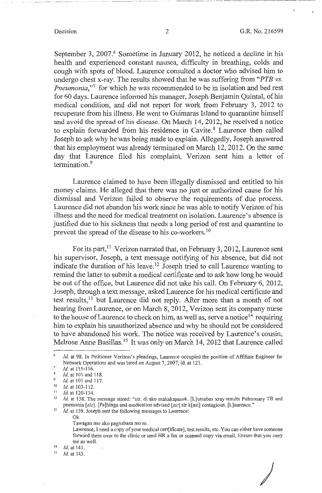*)* 

September 3, 2007. $6$  Sometime in January 2012, he noticed a decline in his health and experienced constant nausea, difficulty in breathing, colds and cough with spots of blood. Laurence consulted a doctor who advised him to undergo chest x-ray. The results showed that he was suffering from *"PTB* vs. *Pneumonia*,"<sup>7</sup> for which he was recommended to be in isolation and bed rest for 60 days. Laurence informed his manager, Joseph Benjamin Quintal, of his medical condition, and did not report for work from February 3, 2012 to recuperate from his illness. He went to Guimaras Island to quarantine himself and avoid the spread of his disease. On March 14, 2012, he received a notice to explain forwarded from his residence in Cavite.<sup>8</sup> Laurence then called Joseph to ask why he was being made to explain. Allegedly, Joseph answered that his employment was already terminated on March 12, 2012. On the same day that Laurence filed his complaint, Verizon sent him a letter of termination.<sup>9</sup>

Laurence claimed to have been illegally dismissed and entitled to his money claims. He alleged that there was no just or authorized cause for his dismissal and Verizon failed to observe the requirements of due process. Laurence did not abandon his work since he was able to notify Verizon of his illness and the need for medical treatment on isolation. Laurence's absence is justified due to his sickness that needs a long period of rest and quarantine to prevent the spread of the disease to his co-workers. <sup>10</sup>

For its part,<sup>11</sup> Verizon narrated that, on February 3, 2012, Laurence sent his supervisor, Joseph, a text message notifying of his absence, but did not indicate the duration of his leave. 12 Joseph tried to call Laurence wanting to remind the latter to submit a medical certificate and to ask how long he would be out of the office, but Laurence did not take his call. On February 6, 2012, Joseph, through a text message, asked Laurence for his medical certificate and test results,  $13$  but Laurence did not reply. After more than a month of not hearing from Laurence, or on March 8, 2012, Verizon sent its company nurse to the house of Laurence to check on him, as well as, serve a notice<sup>14</sup> requiring him to explain his unauthorized absence and why he should not be considered to have abandoned his work. The notice was received by Laurence's cousin, Melrose Anne Basillas.<sup>15</sup> It was only on March 14, 2012 that Laurence called

Ok

Tawagan mo ako pagnabasa mo to.

Lawrence, I need a copy of your medical cert[ificate), test results, etc. You can either have someone forward them over to the clinic or send HR a fax or scanned copy via email. Ensure that you copy

me as well.<br>  $14$  *Id.* at 141.

Id. at 143.

*Id.* at 98. In Petitioner Verizon's pleadings, Laurence occupied the position of Affiliate Engineer for Network Operations and was hired on August 7, 2007; id. at 121.

 $\frac{7}{8}$  Id. at 115-116.

<sup>&</sup>lt;sup>8</sup> *Id.* at 101 and 118.

<sup>&</sup>lt;sup>9</sup> *Id.* at 101 and 117.

 $\frac{10}{11}$  *Id.* at 103-112.

 $\frac{11}{12}$  *Id.* at 120-134.

<sup>12</sup>*Id.* at 138. The message stated: "sir, di ako makakapasok. [L]umabas xray results Pulmonary TB and pnemonia [sic]. [Pa)hinga and medication advised [sic] sir k[asi] contagious. [L]aurence." 13 *Id.* at 139. Joseph sent the following messages to Laurence: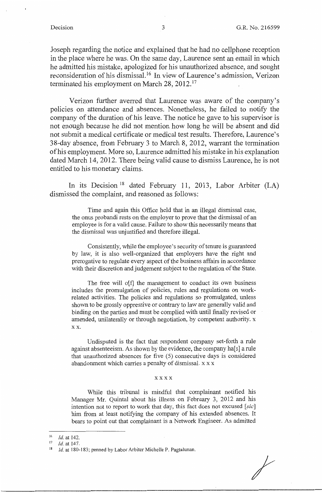Joseph regarding the notice and explained that he had no cellphone reception in the place where he was. On the same day, Laurence sent an email in which he admitted his mistake, apologized for his unauthorized absence, and sought reconsideration of his dismissal.<sup>16</sup> In view of Laurence's admission, Verizon terminated his employment on March 28, 2012.<sup>17</sup>

Verizon further averred that Laurence was aware of the company's policies on attendance and absences. Nonetheless, he failed to notify the company of the duration of his leave. The notice he gave to his supervisor is not enough because he did not mention how long he will be absent and did not submit a medical certificate or medical test results. Therefore, Laurence's 38-day absence, from February 3 to March 8, 2012, warrant the termination of his employment. More so, Laurence admitted his mistake in his explanation dated March 14, 2012. There being valid cause to dismiss Laurence, he is not entitled to his monetary claims.

In its Decision<sup>18</sup> dated February 11, 2013, Labor Arbiter (LA) dismissed the complaint, and reasoned as follows:

Time and again this Office held that in an illegal dismissal case, the onus probandi rests on the employer to prove that the dismissal of an employee is for a valid cause. Failure to show this necessarily means that the dismissal was unjustified and therefore illegal.

Consistently, while the employee's security of tenure is guaranteed by law, it is also well-organized that employers have the right and prerogative to regulate every aspect of the business affairs in accordance with their discretion and judgement subject to the regulation of the State.

The free will o[f] the management to conduct its own business includes the promulgation of policies, rules and regulations on workrelated activities. The policies and regulations so promulgated, unless shown to be grossly oppressive or contrary to law are generally valid and binding on the parties and must be complied with until finally revised or amended, unilaterally or through negotiation, by competent authority. x **xx.** 

Undisputed is the fact that respondent company set-forth a rule against absenteeism. As shown by the evidence, the company ha[s] a rule that unauthorized absences for five  $(5)$  consecutive days is considered abandonment which carries a penalty of dismissal. x x x

#### xxxx

While this tribunal is mindful that complainant notified his Manager Mr. Quintal about his illness on February 3, 2012 and his intention not to report to work that day, this fact does not excused [sic] him from at least notifying the company of his extended absences. It bears to point out that complainant is a Network Engineer. As admitted

<sup>16</sup> *Id.* at 142.<br><sup>17</sup> *Id.* at 147.<br><sup>18</sup> *Id.* at 180-183; penned by Labor Arbiter Michelle P. Pagtalunan.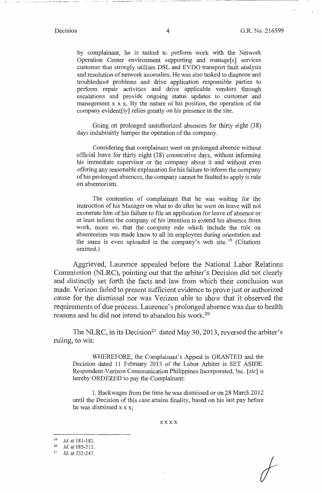·----·----····-·-------

by complainant, he is tasked to perform work with the Network Operation Center environment supporting and manage[s] services customer that strongly utilizes DSL and EVDO transport fault analysis and resolution of network anomalies. He was also tasked to diagnose and troubleshoot problems and drive application responsible parties to perform repair activities and drive applicable vendors through escalations and provide ongoing status updates to customer and management  $x \times x$ . By the nature of his position, the operation of the company evident[ly] relies greatly on his presence in the site.

Going on prolonged unauthorized absences for thirty eight (38) days indubitably hamper the operation of the company.

Considering that complainant went on prolonged absence without official leave for thirty eight (38) consecutive days, without informing his immediate supervisor or the company about it and without even offering any reasonable explanation for his failure to inform the company of his prolonged absences, the company cannot be faulted to apply is rule on absenteeism.

The contention of complainant that he was waiting for the instruction of his Manager on what to do after he went on leave will not exonerate him of his failure to file an application for leave of absence or at least inform the company of his intention to extend his absence from work, more so, that the company rule which include the rule on absenteeism was made know to all its employees during orientation and the same is even uploaded in the company's web site. <sup>19</sup> (Citations omitted.)

Aggrieved, Laurence appealed before the National Labor Relations Commission (NLRC), pointing out that the arbiter's Decision did not clearly and distinctly set forth the facts and law from which their conclusion was made. Verizon failed to present sufficient evidence to prove just or authorized cause for the dismissal nor was Verizon able to show that it observed the requirements of due process. Laurence's prolonged absence was due to health reasons and he did not intend to abandon his work. 20

The NLRC, in its Decision<sup>21</sup> dated May 30, 2013, reversed the arbiter's ruling, to wit:

WHEREFORE, the Complainant's Appeal is GRANTED and the Decision dated 11 February 2013 of the Labor Arbiter is SET ASIDE. Respondent-Verizon Communication Philippines Incorporated, Inc. [sic] is hereby ORDERED to pay the Complainant:

1. Backwages from the time he was dismissed or on 28 March 2012 until the Decision of this case attains finality, based on his last pay before he was dismissed x x x;

xxxx

*I* 

<sup>19</sup>*Id.* at 181-183. 20 *Id.* at 185-213. 21 *Id.* at 232-247.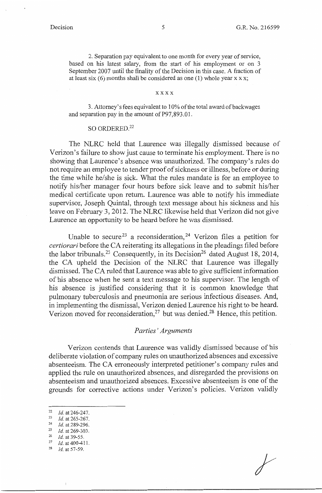2. Separation pay equivalent to one month for every year of service, based on his latest salary, from the start of his employment or on 3 September 2007 until the finality of the Decision in this case. A fraction of at least six  $(6)$  months shall be considered as one  $(1)$  whole year x x x;

### xxxx

3. Attorney's fees equivalent to 10% of the total award of backwages and separation pay in the amount of P97,893.01.

## SO ORDERED.<sup>22</sup>

The NLRC held that Laurence was illegally dismissed because of Verizon's failure to show just cause to terminate his employment. There is no showing that Laurence's absence was unauthorized. The company's rules do not require an employee to tender proof of sickness or illness, before or during the time while he/she is sick. What the rules mandate is for an employee to notify his/her manager four hours before sick leave and to submit his/her medical certificate upon return. Laurence was able to notify his immediate supervisor, Joseph Quintal, through text message about his sickness and his leave on February 3, 2012. The NLRC likewise held that Verizon did not give Laurence an opportunity to be heard before he was dismissed.

Unable to secure<sup>23</sup> a reconsideration,<sup>24</sup> Verizon files a petition for *certiorari* before the CA reiterating its allegations in the pleadings filed before the labor tribunals.<sup>25</sup> Consequently, in its Decision<sup>26</sup> dated August 18, 2014, the CA upheld the Decision of the NLRC that Laurence was illegally dismissed. The CA ruled that Laurence was able to give sufficient information of his absence when he sent a text message to his supervisor. The length of his absence is justified considering that it is common knowledge that pulmonary tuberculosis and pneumonia are serious infectious diseases. And, in implementing the dismissal, Verizon denied Laurence his right to be heard. Verizon moved for reconsideration,  $27$  but was denied. 28 Hence, this petition.

## *Parties' Arguments*

Verizon contends that Laurence was validly dismissed because of his deliberate violation of company rules on unauthorized absences and excessive absenteeism. The CA erroneously interpreted petitioner's company rules and applied the rule on unauthorized absences, and disregarded the provisions on absenteeism and unauthorized absences. Excessive absenteeism is one of the grounds for corrective actions under Verizon's policies. Verizon validly

- 
- <sup>24</sup>*Id.* at 289-296. 25 *Id.* at 269-303. 26 *id.* at 39-55. 27 *id.* at 400-411. 28 *Id.* at 57-59.

<sup>22</sup>*id.* at 246-247. 23 *id.* at 265-267.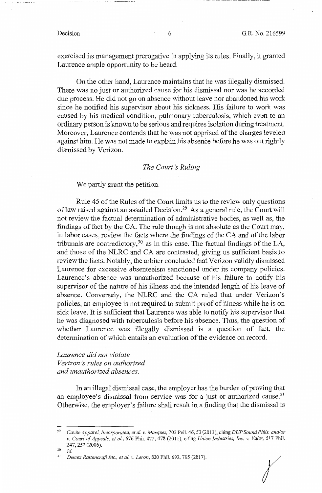exercised its management prerogative in applying its rules. Finally, it granted Laurence ample opportunity to be heard.

On the other hand, Laurence maintains that he was illegally dismissed. There was no just or authorized cause for his dismissal nor was he accorded due process. He did not go on absence without leave nor abandoned his work since he notified his supervisor about his sickness. His failure to work was caused by his medical condition, pulmonary tuberculosis, which even to an ordinary person is known to be serious and requires isolation during treatment. Moreover, Laurence contends that he was not apprised of the charges leveled against him. He was not made to explain his absence before he was out rightly dismissed by Verizon.

## *The Court's Ruling*

We partly grant the petition.

Rule 45 of the Rules of the Court limits us to the review only questions of law raised against an assailed Decision.<sup>29</sup> As a general rule, the Court will not review the factual determination of administrative bodies, as well as, the findings of fact by the CA. The rule though is not absolute as the Court may, in labor cases, review the facts where the findings of the CA and of the labor tribunals are contradictory,<sup>30</sup> as in this case. The factual findings of the LA, and those of the NLRC and CA are contrasted, giving us sufficient basis to review the facts. Notably, the arbiter concluded that Verizon validly dismissed Laurence for excessive absenteeism sanctioned under its company policies. Laurence's absence was unauthorized because of his failure to notify his supervisor of the nature of his illness and the intended length of his leave of absence. Conversely, the NLRC and the CA ruled that under Verizon's policies, an employee is not required to submit proof of illness while he is on sick leave. It is sufficient that Laurence was able to notify his supervisor that he was diagnosed with tuberculosis before his absence. Thus, the question of whether Laurence was illegally dismissed is a question of fact, the determination of which entails an evaluation of the evidence on record.

## *Laurence did not violate Verizon 's rules on authorized*

*and unauthorized absences.* 

In an illegal dismissal case, the employer has the burden of proving that an employee's dismissal from service was for a just or authorized cause.<sup>31</sup> Otherwise, the employer's failure shall result in a finding that the dismissal is

r

<sup>29</sup>*CaviteApparel, Incorporated, et al. v. Marquez,* 703 Phil. 46, 53 (2013), citingDUP *SoundPhils. and/or*  v. *Court of Appeals, et al.,* 676 Phil. 472,478 (2011), citing *Union Industries, Inc.* v. *Vales,* 517 Phil. 247,252 (2006).

*Id.* 

<sup>11</sup>*Demex Rattancraft Inc., et al. v. Leron,* 820 Phil. 693, 705 (2017).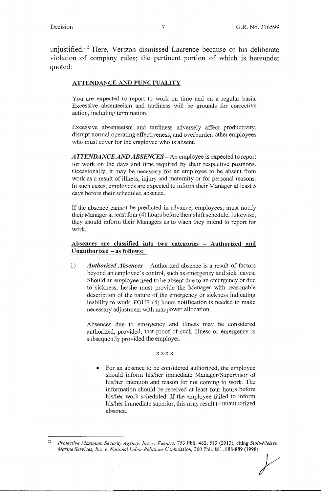unjustified. 32 Here, Verizon dismissed Laurence because of his deliberate violation of company rules; the pertinent portion of which is hereunder quoted:

### **ATTENDANCE AND PUNCTUALITY**

You are expected to report to work on time and on a regular basis. Excessive absenteeism and tardiness will be grounds for corrective action, including termination.

Excessive absenteeism and tardiness adversely affect productivity, disrupt normal operating effectiveness, and overburden other employees who must cover for the employee who is absent.

*ATTENDANCE AND ABSENCES-An* employee is expected to report for work on the days and time required by their respective positions. Occasionally, it may be necessary for an employee to be absent from work as a result of illness, injury and maternity or for personal reasons. In such cases, employees are expected to inform their Manager at least 5 days before their scheduled absence.

If the absence cannot be predicted in advance, employees, must notify their Manager at least four (4) hours before their shift schedule. Likewise, they should inform their Managers as to when they intend to report for work.

## **Absences are classified into two categories** - **Authorized and Unauthorized** - **as follows:**

I) *Authorized Absences* - Authorized absence is a result of factors beyond an employee's control, such as emergency and sick leaves. Should an employee need to be absent due to an emergency or due to sickness, he/she must provide the Manager with reasonable description of the nature of the emergency or sickness indicating inability to work. FOUR (4) hours notification is needed to make necessary adjustment with manpower allocation.

Absences due to emergency and illness may be considered authorized, provided, that proof of such illness or emergency is subsequently provided the employer.

**xxxx** 

• For an absence to be considered authorized, the employee should infonn his/her immediate Manager/Supervisor of his/her intention and reason for not coming to work. The information should be received at least four hours before his/her work scheduled. If the employee failed to inform his/her immediate superior, this may result to unauthorized absence.

<sup>32</sup>*Protective Maximum Security Agency, Inc. v. Fuentes,* 753 Phil. 482, 513 (2013), citing *Stolt-Nielsen Marine Services, Inc. v. National Labor Relations Commission, 360 Phil. 881, 888-889 (1998). y*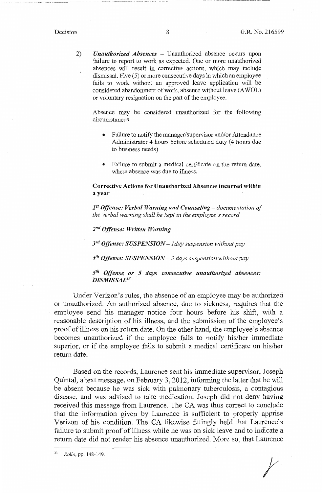$-$ 

2) *Unauthorized Absences* - Unauthorized absence occurs upon failure to report to work as expected. One or more unauthorized absences will result in corrective actions, which may include dismissal. Five (5) or more consecutive days in which an employee fails to work without an approved leave application will be considered abandonment of work, absence without leave (AWOL) or voluntary resignation on the part of the employee.

Absence may be considered unauthorized for the following circumstances:

- Failure to notify the manager/supervisor and/or Attendance Administrator 4 hours before scheduled duty (4 hours due to business needs)
- Failure to submit a medical certificate on the return date, where absence was due to illness.

**Corrective Actions for Unauthorized Absences incurred within a year** 

*pt Offense: Verbal Warning and Counseling- documentation of the verbal warning shall be kept in the employee 's record* 

2nd *Offense: Written Warning* 

*3rd Offense: SUSPENSION* - *I day suspension without pay* 

*4th Offense: SUSPENSION* - *3 days suspension without pay* 

*5th Offense or 5 days consecutive unauthorized absences: DISMISSAL33* 

Under Verizon's rules, the absence of an employee may be authorized or unauthorized. An authorized absence, due to sickness, requires that the employee send his manager notice four hours before his shift, with a reasonable description of his illness, and the submission of the employee's proof of illness on his return date. On the other hand, the employee's absence becomes unauthorized if the employee fails to notify his/her immediate superior, or if the employee fails to submit a medical certificate on his/her return date.

Based on the records, Laurence sent his immediate supervisor, Joseph Quintal, a 'text message, on February 3, 2012, informing the latter that he will be absent because he was sick with pulmonary tuberculosis, a contagious disease, and was advised to take medication. Joseph did not deny having received this message from Laurence. The CA was thus correct to conclude that the information given by Laurence is sufficient to properly apprise Verizon of his condition. The CA likewise fittingly held that Laurence's failure to submit proof of illness while he was on sick leave and to indicate a return date did not render his absence unauthorized. More so, that Laurence

<sup>33</sup>*Rollo,* pp. 148-149.

*t*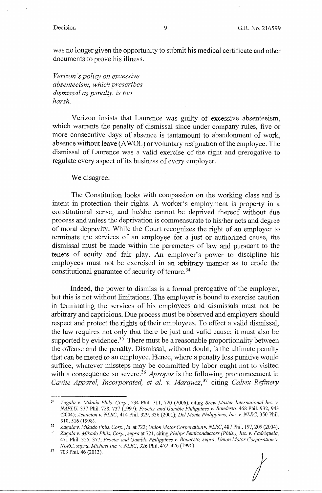*I* 

was no longer given the opportunity to submit his medical certificate and other documents to prove his illness.

*Verizon 's policy on excessive absenteeism, which prescribes dismissal as penalty, is too harsh.* 

Verizon insists that Laurence was guilty of excessive absenteeism, which warrants the penalty of dismissal since under company rules, five or more consecutive days of absence is tantamount to abandonment of work, absence without leave (AWOL) or voluntary resignation of the employee. The dismissal of Laurence was a valid exercise of the right and prerogative to regulate every aspect of its business of every employer.

We disagree.

The Constitution looks with compassion on the working class and is intent in protection their rights. A worker's employment is property in a constitutional sense, and he/she cannot be deprived thereof without due process and unless the deprivation is commensurate to his/her acts and degree of moral depravity. While the Court recognizes the right of an employer to terminate the services of an employee for a just or authorized cause, the dismissal must be made within the parameters of law and pursuant to the tenets of equity and fair play. An employer's power to discipline his employees must not be exercised in an arbitrary manner as to erode the constitutional guarantee of security of tenure. 34

Indeed, the power to dismiss is a formal prerogative of the employer, but this is not without limitations. The employer is bound to exercise caution in terminating the services of his employees and dismissals must not be arbitrary and capricious. Due process must be observed and employers should respect and protect the rights of their employees. To effect a valid dismissal, the law requires not only that there be just and valid cause; it must also be supported by evidence.<sup>35</sup> There must be a reasonable proportionality between the offense and the penalty. Dismissal, without doubt, is the ultimate penalty that can be meted to an employee. Hence, where a penalty less punitive would suffice, whatever missteps may be committed by labor ought not to visited with a consequence so severe.<sup>36</sup> *Apropos* is the following pronouncement in *Cavite Apparel, Incorporated, et al. v. Marquez,* 37 citing *Caltex Refinery* 

<sup>34</sup>*Zagala v. Mikado Phils. Corp.,* 534 Phil. 711, 720 (2006), citing *Brew Master International Inc. v. NAFLU,* 337 Phil. 728, 737 (1997); *Procter and Gamble Philippines v. Bondesto,* 468 Phil. 932, 943 (2004); *Asuncion v. NLRC,* 414 Phil. 329,336 (2001); *Del Monte Philippines, Inc. v. NLRC,* 350 Phil. 510, 516 (1998).<br><sup>35</sup> Zagala v. Mikado Phils. Corp., id. at 722; Union Motor Corporation v. NLRC, 487 Phil. 197, 209 (2004).<br><sup>36</sup> Zagala v. Mikado Phils. Corp., supra at 721, citing Philips Semiconductors (Phils.), Inc. v.

<sup>471</sup> Phil. 355, 377; *Procter and Gamble Philippines v. Bondesto, supra; Union Motor Corporation v. NLRC, supra; Michael Inc. v. NLRC,* 326 Phil. 472,476 (1996). 37 703 Phil. 46 (2013).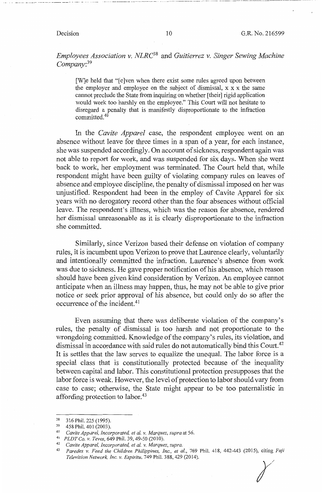-----·--------·--··--·· ···---- ·-·---·--···----·--·----

*Employees Association v. NLRC38* and *Guitierrez v. Singer Sewing Machine Company:39* 

[W]e held that "[e]ven when there exist some rules agreed upon between the employer and employee on the subject of dismissal,  $x \times x$  the same cannot preclude the State from inquiring on whether [their] rigid application would work too harshly on the employee." This Court will not hesitate to disregard a penalty that is manifestly disproportionate to the infraction committed.<sup>40</sup>

In the *Cavite Apparel* case, the respondent employee went on an absence without leave for three times in a span of a year, for each instance, she was suspended accordingly. On account of sickness, respondent again was not able to report for work, and was suspended for six days. When she went back to work, her employment was terminated. The Court held that, while respondent might have been guilty of violating company rules on leaves of absence and employee discipline, the penalty of dismissal imposed on her was unjustified. Respondent had been in the employ of Cavite Apparel for six years with no derogatory record other than the four absences without official leave. The respondent's illness, which was the reason for absence, rendered her dismissal unreasonable as it is clearly disproportionate to the infraction she committed.

Similarly, since Verizon based their defense on violation of company rules, it is incumbent upon Verizon to prove that Laurence clearly, voluntarily and intentionally committed the infraction. Laurence's absence from work was due to sickness. He gave proper notification of his absence, which reason should have been given kind consideration by Verizon. An employee cannot anticipate when an illness may happen, thus, he may not be able to give prior notice or seek prior approval of his absence, but could only do so after the occurrence of the incident.41

Even assuming that there was deliberate violation of the company's rules, the penalty of dismissal is too harsh and not proportionate to the wrongdoing committed. Knowledge of the company's rules, its violation, and dismissal in accordance with said rules do not automatically bind this Court.<sup>42</sup> It is settles that the law serves to equalize the unequal. The labor force is a special class that is constitutionally protected because of the inequality between capital and labor. This constitutional protection presupposes that the labor force is weak. However, the level of protection to labor should vary from case to case; otherwise, the State might appear to be too paternalistic in affording protection to labor.<sup>43</sup>

<sup>38 316</sup>Phil.225(1995). 39 458 Phil. 401 (2003).

<sup>4</sup> ° *Cavite Apparel, Incorporated, et al. v. Marquez, supra* at 56. 41 *PLDT Co. v. Teves,* 649 Phil. 39, 49-50 (2010). 42 *Cavite Apparel, Incorporated, et al. v. Marquez, supra.* 

<sup>43</sup>*Paredes v. Feed the Children Philippines, Inc., et al.,* 769 Phil. 418, 442-443 (2015), citing *Fuji Television Network, Inc. v. Espiritu,* 749 Phil. 388,429 (2014).  $\chi$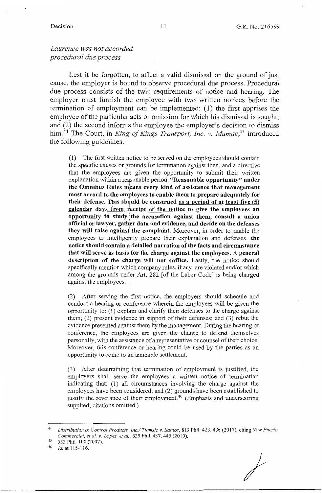## *Laurence was not accorded procedural due process*

Lest it be forgotten, to affect a valid dismissal on the ground of just cause, the employer is bound to observe procedural due process. Procedural due process consists of the twin requirements of notice and hearing. The employer must furnish the employee with two written notices before the termination of employment can be implemented: (1) the first apprises the employee of the particular acts or omission for which his dismissal is sought; and (2) the second informs the employee the employer's decision to dismiss him.<sup>44</sup> The Court, in *King of Kings Transport, Inc. v. Mamac*,<sup>45</sup> introduced the following guidelines:

(1) The first written notice to be served on the employees should contain the specific causes or grounds for termination against then, and a directive that the employees are given the opportunity to submit their written explanation within a reasonable period. **"Reasonable opportunity" under**  the Omnibus Rules means every kind of assistance that management **must accord to the employees to enable them to prepare adequately for their defense. This shquld be construed as a period of at least·five (5) calendar days from teceipt of the notice to give the employees an opportunity to study the accusation against them, consult a union** official or lawyer, gather data and evidence, and decide on the defenses **they will raise againsti the complaint** Moreover, in order to enable the employees to intelligently prepare their explanation and defenses, the **notice should contain a detailed narration of the facts and circumstance that will serve as basislfor the charge against the employees. A general**  description of the charge will not suffice. Lastly, the notice should specifically mention which company rules, if any, are violated and/or which among the grounds under Art. 282 [of the Labor Code] is being charged against the employees.

(2) After serving the ,first notice, the employers should schedule and conduct a hearing or conference wherein the employees will be given the opportunity to: (1) explain and clarify their defenses to the charge against them; (2) present evidence in support of their defenses; and (3) rebut the evidence presented against them by the management. During the hearing or conference, the employees are given the chance to defend themselves personally, with the assistance of a representative or counsel of their choice. Moreover, this conference or hearing could be used by the parties as an opportunity to come to an amicable settlement.

(3) After determining that termination of employment is justified, the employers shall serve the employees a written notice of termination indicating that: (1) all circumstances involving the charge against the employees have been considered; and (2) grounds have been established to justify the severance of their employment.<sup>46</sup> (Emphasis and underscoring supplied; citations omitted.)

/

<sup>44</sup>*Distribution & Control Products, Inc.I Tiamsic v. Santos,* 813 Phil. 423, 436 (2017), citing *New Puerto Commercial, et al. v. Lopez, et al.,* 639 Phil. 437, 445 (2010).<br>553 Phil. 108 (2007).<br>*Id.* at 115-116.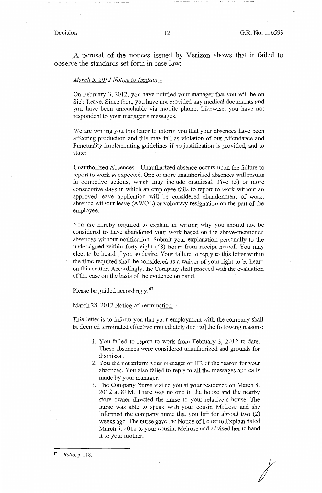*I* 

A perusal of the notices issued by Verizon shows that it failed to observe the standards set forth in case law:

### *March 5. 2012 Notice to Explain* -

On February 3, 2012, you have notified your manager that you will be on Sick Leave. Since then, you have not provided any medical documents and you have been unreachable via mobile phone. Likewise, you have not respondent to your manager's messages.

We are writing you this letter to inform you that your absences have been affecting production and this may fall as violation of our Attendance and Punctuality implementing guidelines if no justification is provided, and to state:

Unauthorized Absences – Unauthorized absence occurs upon the failure to report to work as expected. One or more unauthorized absences will results in corrective actions, which may include dismissal. Five (5) or more consecutive days in which an employee fails to report to work without an approved leave application will be considered abandonment of work, absence without leave (AWOL) or voluntary resignation on the part of the employee.

You are hereby required to explain in writing why you should not be considered to have abandoned your work based on the above-mentioned absences without notification. Submit your explanation personally to the undersigned within forty-eight ( 48) hours from receipt hereof. You may elect to be heard if you so desire. Your failure to reply to this letter within the time required shall be considered as a waiver of your right to be heard on this matter. Accordingly, the Company shall proceed with the evaluation of the case on the basis of the evidence on hand.

Please be guided accordingly.<sup>47</sup>

### March 28, 2012 Notice of Termination -

This letter is to inform you that your employment with the company shall be deemed terminated effective immediately due [to] the following reasons:

- I. You failed to report to work from February 3, 2012 to date. These absences were considered unauthorized and grounds for dismissal.
- 2. You did not inform your manager or HR of the reason for your absences. You also failed to reply to all the messages and calls made by your manager.
- 3. The Company Nurse visited you at your residence on March 8, 2012 at 8PM. There was no one in the house and the nearby store owner directed the nurse to your relative's house. The nurse was able to speak with your cousin Melrose and she informed the company nurse that you left for abroad two (2) weeks ago. The nurse gave the Notice of Letter to Explain dated March 5, 2012 to your cousin, Melrose and advised her to hand it to your mother.

<sup>47</sup>*Rollo,* p. 118.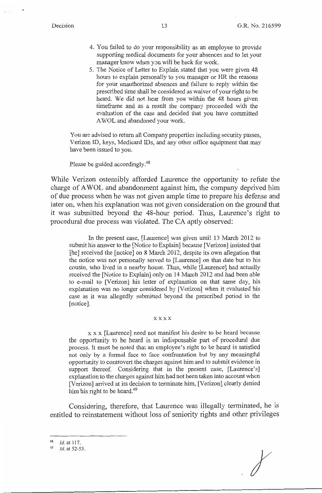- 4. You failed to do your responsibility as an employee to provide supporting medical documents for your absences and to let your manager know when you will be back for work.
- 5. The Notice of Letter to Explain stated that you were given 48 hours to explain personally to you manager or HR the reasons for your unauthorized absences and failure to reply within the prescribed time shall be considered as waiver of your right to be heard. We did not hear from you within the 48 hours given timeframe and as a result the company proceeded with the evaluation of the case and decided that you have committed AWOL and abandoned your work.

You are advised to return all Company properties including security passes, Verizon ID, keys, Medicard IDs, and any other office equipment that may have been issued to you.

Please be guided accordingly.<sup>48</sup>

While Verizon ostensibly afforded Laurence the opportunity to refute the charge of AWOL and abandonment against him, the company deprived him of due process when he was not given ample time to prepare his defense and later on, when his explanation was not given consideration on the ground that it was submitted beyond the 48-hour period. Thus, Laurence's right to procedural due process was violated. The CA aptly observed:

In the present case, [Laurence] was given until 13 March 2012 to submit his answer to the [Notice to Explain] because [Verizon] insisted that [he] received the [notice] on 8 March 2012, despite its own allegation that the notice was not personally served to [Laurence] on that date but to his cousin, who lived in a nearby house. Thus, while [Laurence] had actually received the [Notice to Explain] only on 14 March 2012 and had been able to e-mail to [Verizon] his letter of explanation on that same day, his explanation was no longer considered by [Verizon] when it evaluated his case as it was allegedly submitted beyond the prescribed period in the [notice].

#### xxxx

x x x [Laurence] need not manifest his desire to be heard because the opportunity to be heard is an indispensable part of procedural due process. It must be noted that an employee's right to be heard is satisfied not only by a formal face to face confrontation but by any meaningful opportunity to controvert the charges against him and to submit evidence in support thereof. Considering that in the present case, [Laurence's] explanation to the charges against him had not been taken into account when [Verizon] arrived at its decision to terminate him, [Verizon] clearly denied him his right to be heard.<sup>49</sup>

Considering, therefore, that Laurence was illegally terminated, he is entitled to reinstatement without loss of seniority rights and other privileges

 $\frac{48}{49}$  *Id.* at 117.

*Id.* at 52-53.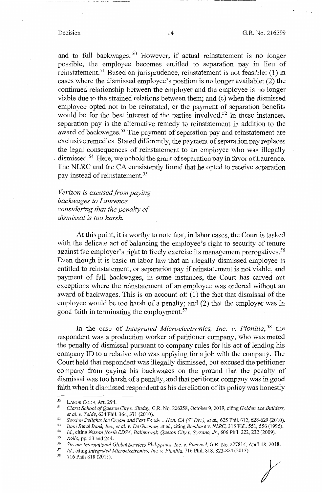--·------·· - . -·---- ---·--·----·-----------------------

and to full backwages. 50 However, if actual reinstatement is no longer possible, the employee becomes entitled to separation pay in lieu of reinstatement.51 Based on jurisprudence, reinstatement is not feasible: (1) in cases where the dismissed employee's position is no longer available; (2) the continued relationship between the employer and the employee is no longer viable due to the strained relations between them; and (c) when the dismissed employee opted not to be reinstated, or the payment of separation benefits would be for the best interest of the parties involved.<sup>52</sup> In these instances, separation pay is the alternative remedy to reinstatement in addition to the award of backwages.<sup>53</sup> The payment of separation pay and reinstatement are exclusive remedies. Stated differently, the payment of separation pay replaces the legal consequences of reinstatement to an employee who was illegally dismissed.<sup>54</sup> Here, we uphold the grant of separation pay in favor of Laurence. The NLRC and the CA consistently found that he opted to receive separation pay instead of reinstatement. 55

*Verizon is excused from paying backwages to Laurence considering that the penalty of dismissal is too harsh.* 

At this point, it is worthy to note that, in labor cases, the Court is tasked with the delicate act of balancing the employee's right to security of tenure against the employer's right to freely exercise its management prerogatives.<sup>56</sup> Even though it is basic in labor law that an illegally dismissed employee is entitled to reinstatement, or separation pay if reinstatement is not viable, and payment of full backwages, in some instances, the Court has carved out exceptions where the reinstatement of an employee was ordered without an award of backwages. This is on account of: (1) the fact that dismissal of the employee would be too harsh of a penalty; and (2) that the employer was in good faith in terminating the employment.<sup>57</sup>

In the case of *Integrated Microelectronics, Inc. v. Pionilla,* 58 the respondent was a production worker of petitioner company, who was meted the penalty of dismissal pursuant to company rules for his act of lending his company ID to a relative who was applying for a job with the company. The Court held that respondent was illegally dismissed, but excused the petitioner company from paying his backwages on the ground that the penalty of dismissal was too harsh of a penalty, and that petitioner company was in good faith when it dismissed respondent as his dereliction of its policy was honestly

<sup>50</sup>LABOR CODE, Art. 294. 51 *Claret School of Quezon City v. Sinday,* G.R. No. 226358, October 9, 2019, citing *Golden Ace Builders,* 

<sup>&</sup>lt;sup>52</sup> Session Delights Ice Cream and Fast Foods v. Hon. CA ( $6^{th}$  Div.), et al., 625 Phil. 612, 628-629 (2010).<br><sup>53</sup> Bani Rural Bank, Inc., et al. v. De Guzman, et al., citing Bombase v. NLRC, 315 Phil. 551, 556 (1995).<br><sup></sup>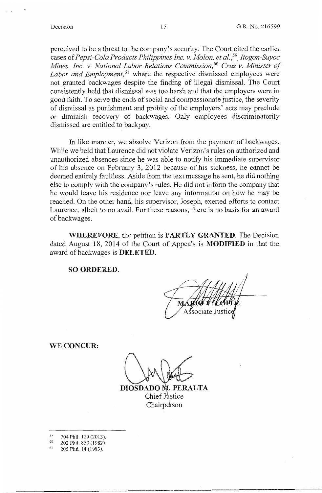perceived to be a threat to the company's security. The Court cited the earlier cases of *Pepsi-Cola Products Philippines Inc. v. Molon, et al.,59\_ Itogon-Suyoc Mines, Inc. v. National Labor Relations Commission,*<sup>6</sup> ° *Cruz v. Minister of Labor and Employment*,<sup>61</sup> where the respective dismissed employees were not granted back.wages despite the finding of illegal dismissal. The Court consistently held that dismissal was too harsh and that the employers were in good faith. To serve the ends of social and compassionate justice, the severity of dismissal as punishment and probity of the employers' acts may preclude or diminish recovery of backwages. Only employees discriminatorily dismissed are entitled to backpay.

In like manner, we absolve Verizon from the payment of backwages. While we held that Laurence did not violate Verizon's rules on authorized and unauthorized absences since he was able to notify his immediate supervisor of his absence on February 3, 2012 because of his sickness, he cannot be deemed entirely faultless. Aside from the text message he sent, he did nothing else to comply with the company's rules. He did not inform the company that he would leave his residence nor leave any information on how he may be reached. On the other hand, his supervisor, Joseph, exerted efforts to contact Laurence, albeit to no avail. For these reasons, there is no basis for an award of backwages.

**WHEREFORE,** the petition is **PARTLY GRANTED.** The Decision dated August 18, 2014 of the Court of Appeals is **MODIFIED** in that the award of backwages is **DELETED.** 

**SO ORDERED.** 

sociate Jus

**WE CONCUR:** 

**DIOSDADO I. PERALTA**  Chief Justice Chairperson

- $^{59}$  704 Phil. 120 (2013).<br>  $^{60}$  202 Phil. 850 (1982).
- 
- <sup>61</sup> 205 Phil. 14 (1983).